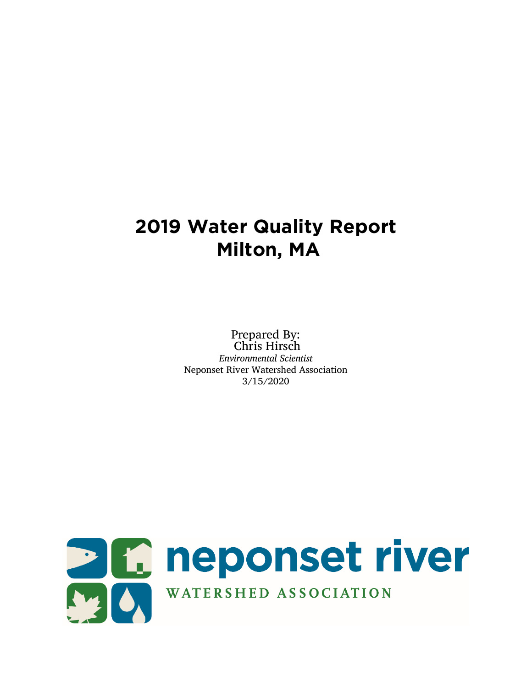# **2019 Water Quality Report Milton, MA**

Prepared By: Chris Hirsch *Environmental Scientist* Neponset River Watershed Association 3/15/2020

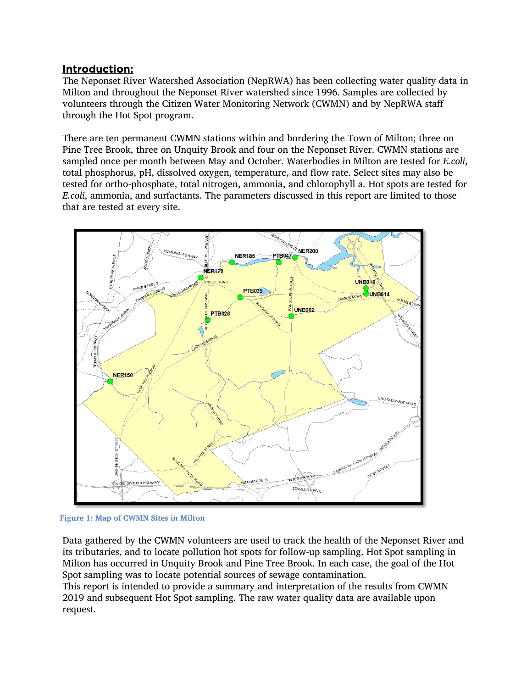## Introduction:

The Neponset River Watershed Association (NepRWA) has been collecting water quality data in Milton and throughout the Neponset River watershed since 1996. Samples are collected by volunteers through the Citizen Water Monitoring Network (CWMN) and by NepRWA staff through the Hot Spot program.

There are ten permanent CWMN stations within and bordering the Town of Milton; three on Pine Tree Brook, three on Unquity Brook and four on the Neponset River. CWMN stations are sampled once per month between May and October. Waterbodies in Milton are tested for *E.coli*, total phosphorus, pH, dissolved oxygen, temperature, and flow rate. Select sites may also be tested for ortho-phosphate, total nitrogen, ammonia, and chlorophyll a. Hot spots are tested for *E.coli*, ammonia, and surfactants. The parameters discussed in this report are limited to those that are tested at every site.



**Figure 1: Map of CWMN Sites in Milton**

Data gathered by the CWMN volunteers are used to track the health of the Neponset River and its tributaries, and to locate pollution hot spots for follow-up sampling. Hot Spot sampling in Milton has occurred in Unquity Brook and Pine Tree Brook. In each case, the goal of the Hot Spot sampling was to locate potential sources of sewage contamination.

This report is intended to provide a summary and interpretation of the results from CWMN 2019 and subsequent Hot Spot sampling. The raw water quality data are available upon request.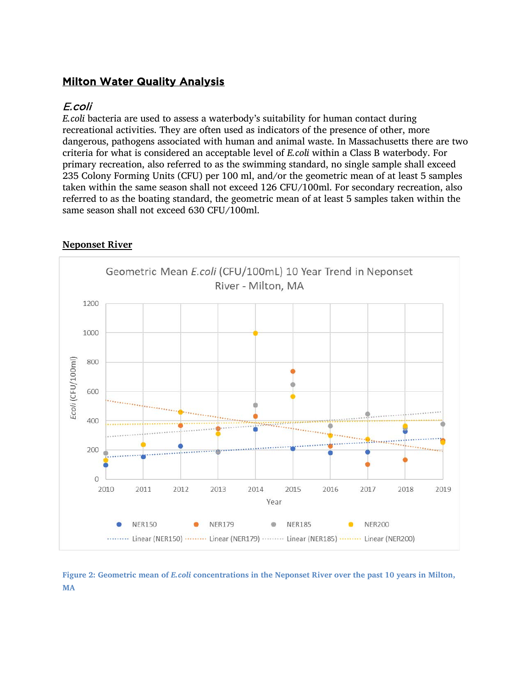## **Milton Water Quality Analysis**

## E.coli

*E.coli* bacteria are used to assess a waterbody's suitability for human contact during recreational activities. They are often used as indicators of the presence of other, more dangerous, pathogens associated with human and animal waste. In Massachusetts there are two criteria for what is considered an acceptable level of *E.coli* within a Class B waterbody. For primary recreation, also referred to as the swimming standard, no single sample shall exceed 235 Colony Forming Units (CFU) per 100 ml, and/or the geometric mean of at least 5 samples taken within the same season shall not exceed 126 CFU/100ml. For secondary recreation, also referred to as the boating standard, the geometric mean of at least 5 samples taken within the same season shall not exceed 630 CFU/100ml.



## **Neponset River**

**Figure 2: Geometric mean of** *E.coli* **concentrations in the Neponset River over the past 10 years in Milton, MA**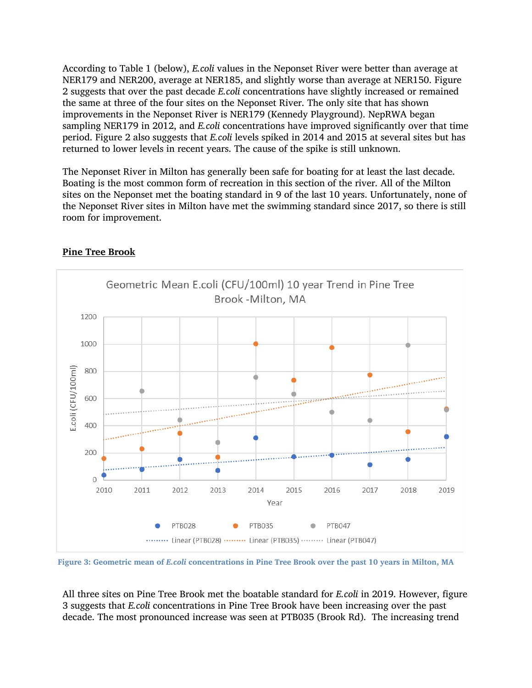According to Table 1 (below), *E.coli* values in the Neponset River were better than average at NER179 and NER200, average at NER185, and slightly worse than average at NER150. Figure 2 suggests that over the past decade *E.coli* concentrations have slightly increased or remained the same at three of the four sites on the Neponset River. The only site that has shown improvements in the Neponset River is NER179 (Kennedy Playground). NepRWA began sampling NER179 in 2012, and *E.coli* concentrations have improved significantly over that time period. Figure 2 also suggests that *E.coli* levels spiked in 2014 and 2015 at several sites but has returned to lower levels in recent years. The cause of the spike is still unknown.

The Neponset River in Milton has generally been safe for boating for at least the last decade. Boating is the most common form of recreation in this section of the river. All of the Milton sites on the Neponset met the boating standard in 9 of the last 10 years. Unfortunately, none of the Neponset River sites in Milton have met the swimming standard since 2017, so there is still room for improvement.



#### **Pine Tree Brook**

**Figure 3: Geometric mean of** *E.coli* **concentrations in Pine Tree Brook over the past 10 years in Milton, MA**

All three sites on Pine Tree Brook met the boatable standard for *E.coli* in 2019. However, figure 3 suggests that *E.coli* concentrations in Pine Tree Brook have been increasing over the past decade. The most pronounced increase was seen at PTB035 (Brook Rd). The increasing trend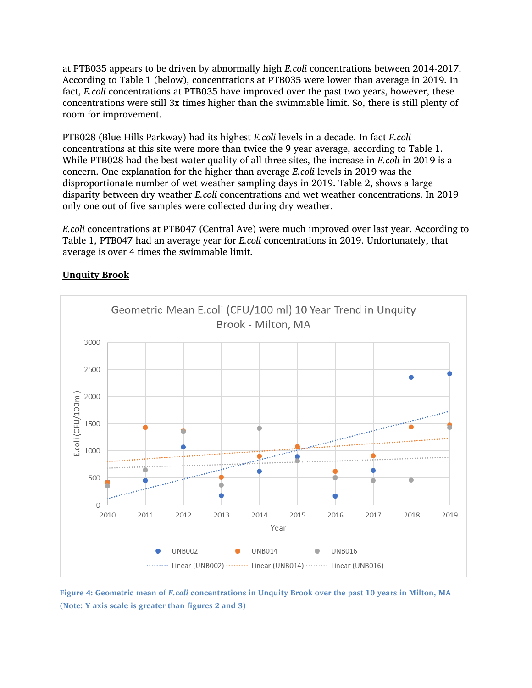at PTB035 appears to be driven by abnormally high *E.coli* concentrations between 2014-2017. According to Table 1 (below), concentrations at PTB035 were lower than average in 2019. In fact, *E.coli* concentrations at PTB035 have improved over the past two years, however, these concentrations were still 3x times higher than the swimmable limit. So, there is still plenty of room for improvement.

PTB028 (Blue Hills Parkway) had its highest *E.coli* levels in a decade. In fact *E.coli* concentrations at this site were more than twice the 9 year average, according to Table 1. While PTB028 had the best water quality of all three sites, the increase in *E.coli* in 2019 is a concern. One explanation for the higher than average *E.coli* levels in 2019 was the disproportionate number of wet weather sampling days in 2019. Table 2, shows a large disparity between dry weather *E.coli* concentrations and wet weather concentrations. In 2019 only one out of five samples were collected during dry weather.

*E.coli* concentrations at PTB047 (Central Ave) were much improved over last year. According to Table 1, PTB047 had an average year for *E.coli* concentrations in 2019. Unfortunately, that average is over 4 times the swimmable limit.



## **Unquity Brook**

**Figure 4: Geometric mean of** *E.coli* **concentrations in Unquity Brook over the past 10 years in Milton, MA (Note: Y axis scale is greater than figures 2 and 3)**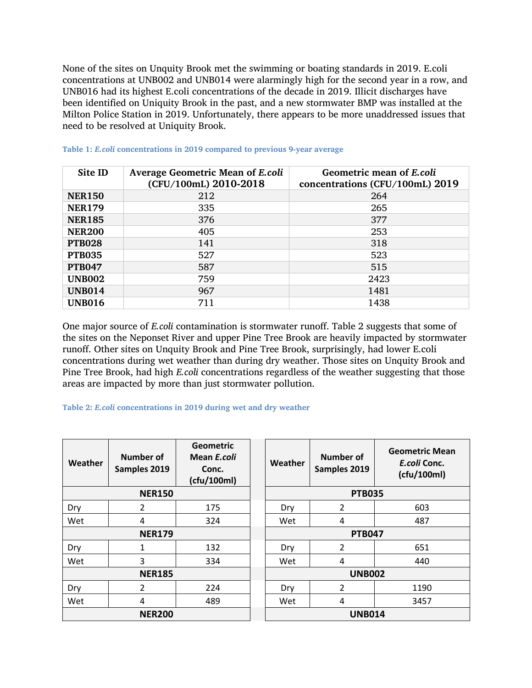None of the sites on Unquity Brook met the swimming or boating standards in 2019. E.coli concentrations at UNB002 and UNB014 were alarmingly high for the second year in a row, and UNB016 had its highest E.coli concentrations of the decade in 2019. Illicit discharges have been identified on Uniquity Brook in the past, and a new stormwater BMP was installed at the Milton Police Station in 2019. Unfortunately, there appears to be more unaddressed issues that need to be resolved at Uniquity Brook.

| Site ID       | <b>Average Geometric Mean of E.coli</b><br>(CFU/100mL) 2010-2018 | Geometric mean of E.coli<br>concentrations (CFU/100mL) 2019 |
|---------------|------------------------------------------------------------------|-------------------------------------------------------------|
| <b>NER150</b> | 212                                                              | 264                                                         |
| <b>NER179</b> | 335                                                              | 265                                                         |
| <b>NER185</b> | 376                                                              | 377                                                         |
| <b>NER200</b> | 405                                                              | 253                                                         |
| <b>PTB028</b> | 141                                                              | 318                                                         |
| <b>PTB035</b> | 527                                                              | 523                                                         |
| <b>PTB047</b> | 587                                                              | 515                                                         |
| <b>UNB002</b> | 759                                                              | 2423                                                        |
| <b>UNB014</b> | 967                                                              | 1481                                                        |
| <b>UNB016</b> | 711                                                              | 1438                                                        |

#### **Table 1:** *E.coli* **concentrations in 2019 compared to previous 9-year average**

One major source of *E.coli* contamination is stormwater runoff. Table 2 suggests that some of the sites on the Neponset River and upper Pine Tree Brook are heavily impacted by stormwater runoff. Other sites on Unquity Brook and Pine Tree Brook, surprisingly, had lower E.coli concentrations during wet weather than during dry weather. Those sites on Unquity Brook and Pine Tree Brook, had high *E.coli* concentrations regardless of the weather suggesting that those areas are impacted by more than just stormwater pollution.

#### **Table 2:** *E.coli* **concentrations in 2019 during wet and dry weather**

| Weather       | Number of<br>Samples 2019 | <b>Geometric</b><br>Mean E.coli<br>Conc.<br>(cfu/100ml) | Weather       | Number of<br>Samples 2019 | <b>Geometric Mean</b><br>E.coli Conc.<br>(cfu/100ml) |
|---------------|---------------------------|---------------------------------------------------------|---------------|---------------------------|------------------------------------------------------|
| <b>NER150</b> |                           |                                                         |               | <b>PTB035</b>             |                                                      |
| Dry           | $\overline{2}$            | 175                                                     | Dry           | $\overline{2}$            | 603                                                  |
| Wet           | 4                         | 324                                                     | Wet           | 4                         | 487                                                  |
| <b>NER179</b> |                           |                                                         | <b>PTB047</b> |                           |                                                      |
| Dry           | 1                         | 132                                                     | Dry           | 2                         | 651                                                  |
| Wet           | 3                         | 334                                                     | Wet           | 4                         | 440                                                  |
| <b>NER185</b> |                           |                                                         |               | <b>UNB002</b>             |                                                      |
| Dry           | 2                         | 224                                                     | Dry           | $\overline{2}$            | 1190                                                 |
| Wet           | 4                         | 489                                                     | Wet           | 4                         | 3457                                                 |
| <b>NER200</b> |                           |                                                         |               | <b>UNB014</b>             |                                                      |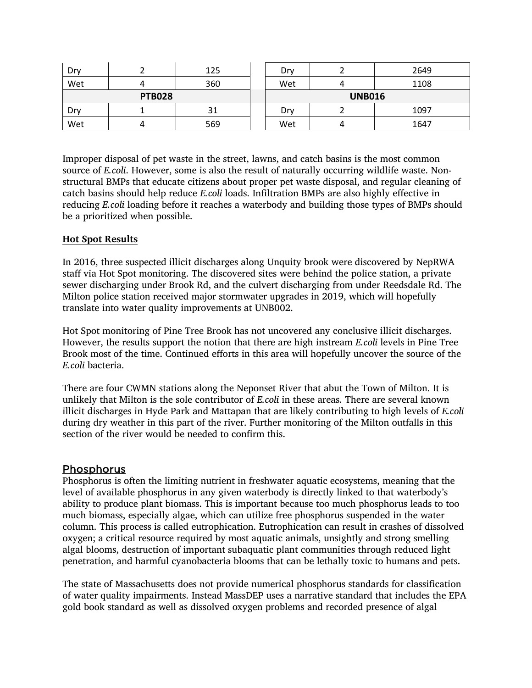| Dry           |   | 125 | Dry           |  | 2649 |
|---------------|---|-----|---------------|--|------|
| Wet           | 4 | 360 | Wet           |  | 1108 |
| <b>PTB028</b> |   |     | <b>UNB016</b> |  |      |
| Dry           |   | 31  | Drv           |  | 1097 |
| Wet           | 4 | 569 | Wet           |  | 1647 |

Improper disposal of pet waste in the street, lawns, and catch basins is the most common source of *E.coli*. However, some is also the result of naturally occurring wildlife waste. Nonstructural BMPs that educate citizens about proper pet waste disposal, and regular cleaning of catch basins should help reduce *E.coli* loads. Infiltration BMPs are also highly effective in reducing *E.coli* loading before it reaches a waterbody and building those types of BMPs should be a prioritized when possible.

### **Hot Spot Results**

In 2016, three suspected illicit discharges along Unquity brook were discovered by NepRWA staff via Hot Spot monitoring. The discovered sites were behind the police station, a private sewer discharging under Brook Rd, and the culvert discharging from under Reedsdale Rd. The Milton police station received major stormwater upgrades in 2019, which will hopefully translate into water quality improvements at UNB002.

Hot Spot monitoring of Pine Tree Brook has not uncovered any conclusive illicit discharges. However, the results support the notion that there are high instream *E.coli* levels in Pine Tree Brook most of the time. Continued efforts in this area will hopefully uncover the source of the *E.coli* bacteria.

There are four CWMN stations along the Neponset River that abut the Town of Milton. It is unlikely that Milton is the sole contributor of *E.coli* in these areas. There are several known illicit discharges in Hyde Park and Mattapan that are likely contributing to high levels of *E.coli* during dry weather in this part of the river. Further monitoring of the Milton outfalls in this section of the river would be needed to confirm this.

## Phosphorus

Phosphorus is often the limiting nutrient in freshwater aquatic ecosystems, meaning that the level of available phosphorus in any given waterbody is directly linked to that waterbody's ability to produce plant biomass. This is important because too much phosphorus leads to too much biomass, especially algae, which can utilize free phosphorus suspended in the water column. This process is called eutrophication. Eutrophication can result in crashes of dissolved oxygen; a critical resource required by most aquatic animals, unsightly and strong smelling algal blooms, destruction of important subaquatic plant communities through reduced light penetration, and harmful cyanobacteria blooms that can be lethally toxic to humans and pets.

The state of Massachusetts does not provide numerical phosphorus standards for classification of water quality impairments. Instead MassDEP uses a narrative standard that includes the EPA gold book standard as well as dissolved oxygen problems and recorded presence of algal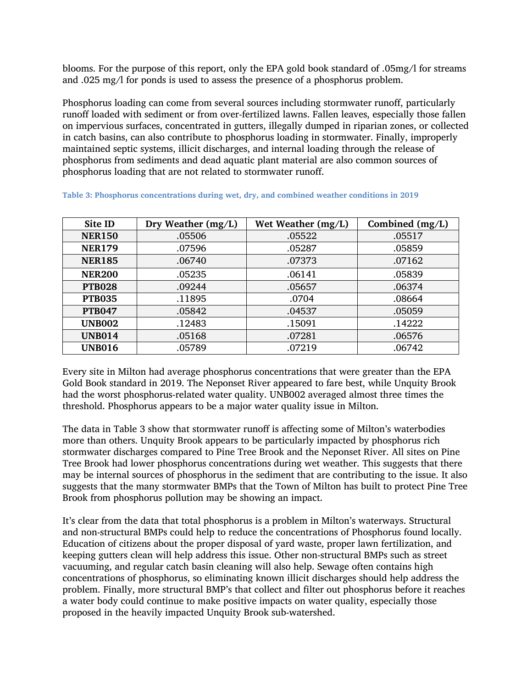blooms. For the purpose of this report, only the EPA gold book standard of .05mg/l for streams and .025 mg/l for ponds is used to assess the presence of a phosphorus problem.

Phosphorus loading can come from several sources including stormwater runoff, particularly runoff loaded with sediment or from over-fertilized lawns. Fallen leaves, especially those fallen on impervious surfaces, concentrated in gutters, illegally dumped in riparian zones, or collected in catch basins, can also contribute to phosphorus loading in stormwater. Finally, improperly maintained septic systems, illicit discharges, and internal loading through the release of phosphorus from sediments and dead aquatic plant material are also common sources of phosphorus loading that are not related to stormwater runoff.

| Site ID       | Dry Weather (mg/L) | Wet Weather (mg/L) | Combined (mg/L) |
|---------------|--------------------|--------------------|-----------------|
| <b>NER150</b> | .05506             | .05522             | .05517          |
| <b>NER179</b> | .07596             | .05287             | .05859          |
| <b>NER185</b> | .06740             | .07373             | .07162          |
| <b>NER200</b> | .05235             | .06141             | .05839          |
| <b>PTB028</b> | .09244             | .05657             | .06374          |
| <b>PTB035</b> | .11895             | .0704              | .08664          |
| <b>PTB047</b> | .05842             | .04537             | .05059          |
| <b>UNB002</b> | .12483             | .15091             | .14222          |
| <b>UNB014</b> | .05168             | .07281             | .06576          |
| <b>UNB016</b> | .05789             | .07219             | .06742          |

|  | Table 3: Phosphorus concentrations during wet, dry, and combined weather conditions in 2019 |  |  |  |  |
|--|---------------------------------------------------------------------------------------------|--|--|--|--|
|  |                                                                                             |  |  |  |  |

Every site in Milton had average phosphorus concentrations that were greater than the EPA Gold Book standard in 2019. The Neponset River appeared to fare best, while Unquity Brook had the worst phosphorus-related water quality. UNB002 averaged almost three times the threshold. Phosphorus appears to be a major water quality issue in Milton.

The data in Table 3 show that stormwater runoff is affecting some of Milton's waterbodies more than others. Unquity Brook appears to be particularly impacted by phosphorus rich stormwater discharges compared to Pine Tree Brook and the Neponset River. All sites on Pine Tree Brook had lower phosphorus concentrations during wet weather. This suggests that there may be internal sources of phosphorus in the sediment that are contributing to the issue. It also suggests that the many stormwater BMPs that the Town of Milton has built to protect Pine Tree Brook from phosphorus pollution may be showing an impact.

It's clear from the data that total phosphorus is a problem in Milton's waterways. Structural and non-structural BMPs could help to reduce the concentrations of Phosphorus found locally. Education of citizens about the proper disposal of yard waste, proper lawn fertilization, and keeping gutters clean will help address this issue. Other non-structural BMPs such as street vacuuming, and regular catch basin cleaning will also help. Sewage often contains high concentrations of phosphorus, so eliminating known illicit discharges should help address the problem. Finally, more structural BMP's that collect and filter out phosphorus before it reaches a water body could continue to make positive impacts on water quality, especially those proposed in the heavily impacted Unquity Brook sub-watershed.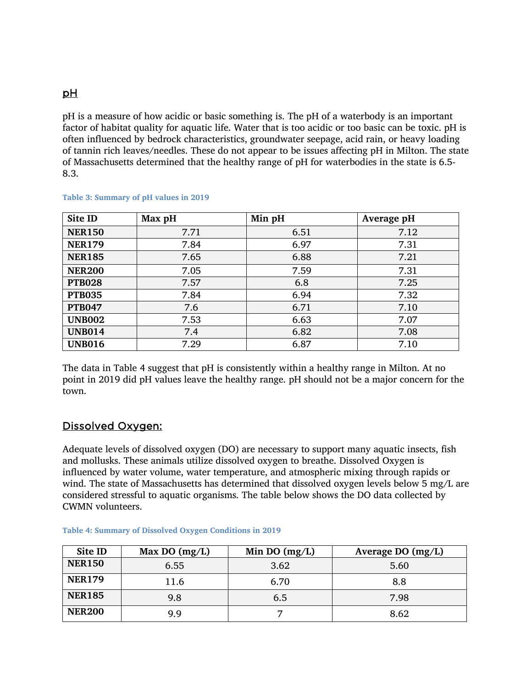## pH

pH is a measure of how acidic or basic something is. The pH of a waterbody is an important factor of habitat quality for aquatic life. Water that is too acidic or too basic can be toxic. pH is often influenced by bedrock characteristics, groundwater seepage, acid rain, or heavy loading of tannin rich leaves/needles. These do not appear to be issues affecting pH in Milton. The state of Massachusetts determined that the healthy range of pH for waterbodies in the state is 6.5- 8.3.

| Site ID       | Max pH | Min pH | Average pH |
|---------------|--------|--------|------------|
| <b>NER150</b> | 7.71   | 6.51   | 7.12       |
| <b>NER179</b> | 7.84   | 6.97   | 7.31       |
| <b>NER185</b> | 7.65   | 6.88   | 7.21       |
| <b>NER200</b> | 7.05   | 7.59   | 7.31       |
| <b>PTB028</b> | 7.57   | 6.8    | 7.25       |
| <b>PTB035</b> | 7.84   | 6.94   | 7.32       |
| <b>PTB047</b> | 7.6    | 6.71   | 7.10       |
| <b>UNB002</b> | 7.53   | 6.63   | 7.07       |
| <b>UNB014</b> | 7.4    | 6.82   | 7.08       |
| <b>UNB016</b> | 7.29   | 6.87   | 7.10       |

#### **Table 3: Summary of pH values in 2019**

The data in Table 4 suggest that pH is consistently within a healthy range in Milton. At no point in 2019 did pH values leave the healthy range. pH should not be a major concern for the town.

## Dissolved Oxygen:

Adequate levels of dissolved oxygen (DO) are necessary to support many aquatic insects, fish and mollusks. These animals utilize dissolved oxygen to breathe. Dissolved Oxygen is influenced by water volume, water temperature, and atmospheric mixing through rapids or wind. The state of Massachusetts has determined that dissolved oxygen levels below 5 mg/L are considered stressful to aquatic organisms. The table below shows the DO data collected by CWMN volunteers.

| Site ID       | Max DO $(mg/L)$ | Min DO $(mg/L)$ | Average DO $(mg/L)$ |
|---------------|-----------------|-----------------|---------------------|
| <b>NER150</b> | 6.55            | 3.62            | 5.60                |
| <b>NER179</b> | 11.6            | 6.70            | 8.8                 |
| <b>NER185</b> | 9.8             | 6.5             | 7.98                |
| <b>NER200</b> | 9.9             | ⇁               | 8.62                |

#### **Table 4: Summary of Dissolved Oxygen Conditions in 2019**